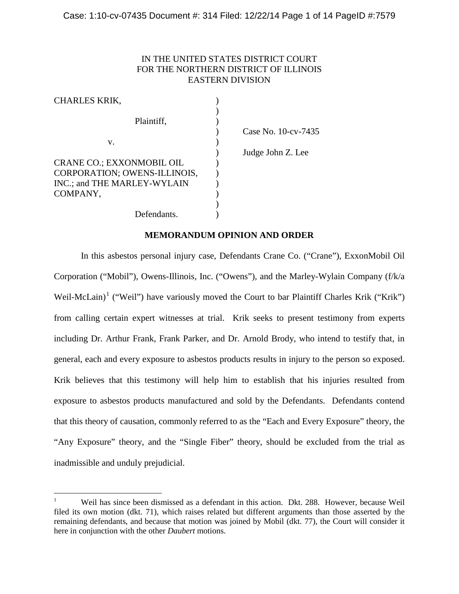# IN THE UNITED STATES DISTRICT COURT FOR THE NORTHERN DISTRICT OF ILLINOIS EASTERN DIVISION

| <b>CHARLES KRIK,</b>         |                     |
|------------------------------|---------------------|
| Plaintiff,                   |                     |
|                              | Case No. 10-cv-7435 |
| v.                           |                     |
|                              | Judge John Z. Lee   |
| CRANE CO.; EXXONMOBIL OIL    |                     |
| CORPORATION; OWENS-ILLINOIS, |                     |
| INC.; and THE MARLEY-WYLAIN  |                     |
| COMPANY,                     |                     |
|                              |                     |
| Defendants.                  |                     |

## **MEMORANDUM OPINION AND ORDER**

In this asbestos personal injury case, Defendants Crane Co. ("Crane"), ExxonMobil Oil Corporation ("Mobil"), Owens-Illinois, Inc. ("Owens"), and the Marley-Wylain Company (f/k/a Weil-McLain)<sup>[1](#page-0-0)</sup> ("Weil") have variously moved the Court to bar Plaintiff Charles Krik ("Krik") from calling certain expert witnesses at trial. Krik seeks to present testimony from experts including Dr. Arthur Frank, Frank Parker, and Dr. Arnold Brody, who intend to testify that, in general, each and every exposure to asbestos products results in injury to the person so exposed. Krik believes that this testimony will help him to establish that his injuries resulted from exposure to asbestos products manufactured and sold by the Defendants. Defendants contend that this theory of causation, commonly referred to as the "Each and Every Exposure" theory, the "Any Exposure" theory, and the "Single Fiber" theory, should be excluded from the trial as inadmissible and unduly prejudicial.

<span id="page-0-0"></span><sup>1</sup> Weil has since been dismissed as a defendant in this action. Dkt. 288. However, because Weil filed its own motion (dkt. 71), which raises related but different arguments than those asserted by the remaining defendants, and because that motion was joined by Mobil (dkt. 77), the Court will consider it here in conjunction with the other *Daubert* motions.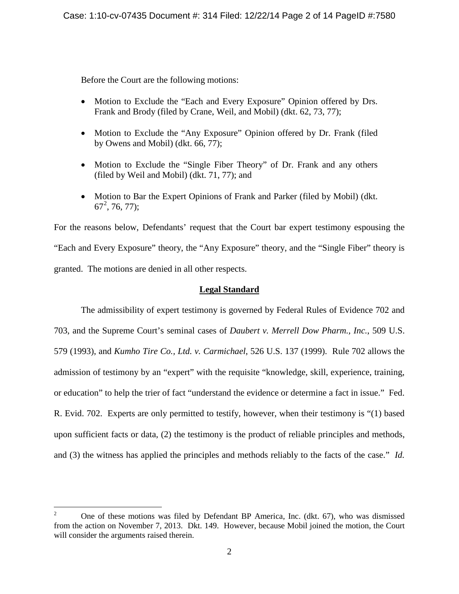Before the Court are the following motions:

- Motion to Exclude the "Each and Every Exposure" Opinion offered by Drs. Frank and Brody (filed by Crane, Weil, and Mobil) (dkt. 62, 73, 77);
- Motion to Exclude the "Any Exposure" Opinion offered by Dr. Frank (filed by Owens and Mobil) (dkt. 66, 77);
- Motion to Exclude the "Single Fiber Theory" of Dr. Frank and any others (filed by Weil and Mobil) (dkt. 71, 77); and
- Motion to Bar the Expert Opinions of Frank and Parker (filed by Mobil) (dkt.  $67^2$  $67^2$ , 76, 77);

For the reasons below, Defendants' request that the Court bar expert testimony espousing the "Each and Every Exposure" theory, the "Any Exposure" theory, and the "Single Fiber" theory is granted. The motions are denied in all other respects.

# **Legal Standard**

The admissibility of expert testimony is governed by Federal Rules of Evidence 702 and 703, and the Supreme Court's seminal cases of *Daubert v. Merrell Dow Pharm., Inc.*, 509 U.S. 579 (1993), and *Kumho Tire Co., Ltd. v. Carmichael*, 526 U.S. 137 (1999). Rule 702 allows the admission of testimony by an "expert" with the requisite "knowledge, skill, experience, training, or education" to help the trier of fact "understand the evidence or determine a fact in issue." Fed. R. Evid. 702. Experts are only permitted to testify, however, when their testimony is "(1) based upon sufficient facts or data, (2) the testimony is the product of reliable principles and methods, and (3) the witness has applied the principles and methods reliably to the facts of the case." *Id.*

<span id="page-1-0"></span><sup>2</sup> One of these motions was filed by Defendant BP America, Inc. (dkt. 67), who was dismissed from the action on November 7, 2013. Dkt. 149. However, because Mobil joined the motion, the Court will consider the arguments raised therein.  $\overline{2}$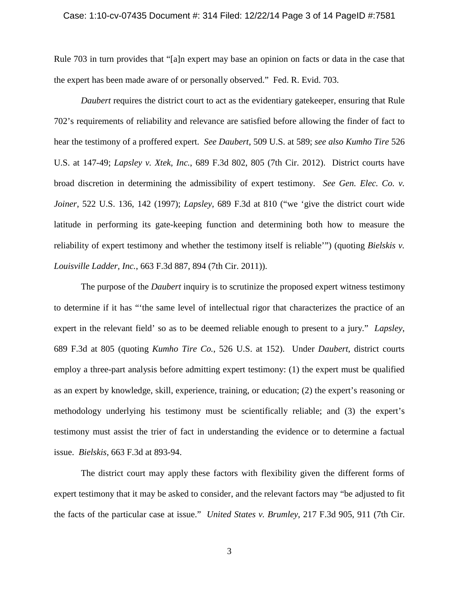#### Case: 1:10-cv-07435 Document #: 314 Filed: 12/22/14 Page 3 of 14 PageID #:7581

Rule 703 in turn provides that "[a]n expert may base an opinion on facts or data in the case that the expert has been made aware of or personally observed." Fed. R. Evid. 703.

*Daubert* requires the district court to act as the evidentiary gatekeeper, ensuring that Rule 702's requirements of reliability and relevance are satisfied before allowing the finder of fact to hear the testimony of a proffered expert. *See Daubert*, 509 U.S. at 589; *see also Kumho Tire* 526 U.S. at 147-49; *Lapsley v. Xtek, Inc.*, 689 F.3d 802, 805 (7th Cir. 2012). District courts have broad discretion in determining the admissibility of expert testimony. *See Gen. Elec. Co. v. Joiner*, 522 U.S. 136, 142 (1997); *Lapsley*, 689 F.3d at 810 ("we 'give the district court wide latitude in performing its gate-keeping function and determining both how to measure the reliability of expert testimony and whether the testimony itself is reliable'") (quoting *Bielskis v. Louisville Ladder, Inc.*, 663 F.3d 887, 894 (7th Cir. 2011)).

The purpose of the *Daubert* inquiry is to scrutinize the proposed expert witness testimony to determine if it has "'the same level of intellectual rigor that characterizes the practice of an expert in the relevant field' so as to be deemed reliable enough to present to a jury." *Lapsley*, 689 F.3d at 805 (quoting *Kumho Tire Co.*, 526 U.S. at 152). Under *Daubert*, district courts employ a three-part analysis before admitting expert testimony: (1) the expert must be qualified as an expert by knowledge, skill, experience, training, or education; (2) the expert's reasoning or methodology underlying his testimony must be scientifically reliable; and (3) the expert's testimony must assist the trier of fact in understanding the evidence or to determine a factual issue. *Bielskis*, 663 F.3d at 893-94.

The district court may apply these factors with flexibility given the different forms of expert testimony that it may be asked to consider, and the relevant factors may "be adjusted to fit the facts of the particular case at issue." *United States v. Brumley*, 217 F.3d 905, 911 (7th Cir.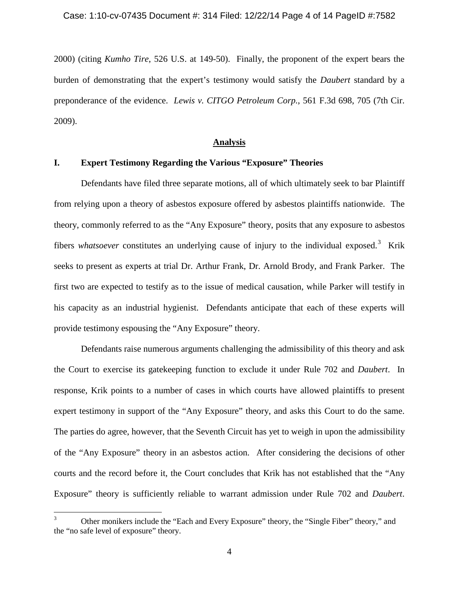2000) (citing *Kumho Tire*, 526 U.S. at 149-50). Finally, the proponent of the expert bears the burden of demonstrating that the expert's testimony would satisfy the *Daubert* standard by a preponderance of the evidence. *Lewis v. CITGO Petroleum Corp.*, 561 F.3d 698, 705 (7th Cir. 2009).

### **Analysis**

# **I. Expert Testimony Regarding the Various "Exposure" Theories**

Defendants have filed three separate motions, all of which ultimately seek to bar Plaintiff from relying upon a theory of asbestos exposure offered by asbestos plaintiffs nationwide. The theory, commonly referred to as the "Any Exposure" theory, posits that any exposure to asbestos fibers *whatsoever* constitutes an underlying cause of injury to the individual exposed.<sup>[3](#page-3-0)</sup> Krik seeks to present as experts at trial Dr. Arthur Frank, Dr. Arnold Brody, and Frank Parker. The first two are expected to testify as to the issue of medical causation, while Parker will testify in his capacity as an industrial hygienist. Defendants anticipate that each of these experts will provide testimony espousing the "Any Exposure" theory.

Defendants raise numerous arguments challenging the admissibility of this theory and ask the Court to exercise its gatekeeping function to exclude it under Rule 702 and *Daubert*. In response, Krik points to a number of cases in which courts have allowed plaintiffs to present expert testimony in support of the "Any Exposure" theory, and asks this Court to do the same. The parties do agree, however, that the Seventh Circuit has yet to weigh in upon the admissibility of the "Any Exposure" theory in an asbestos action. After considering the decisions of other courts and the record before it, the Court concludes that Krik has not established that the "Any Exposure" theory is sufficiently reliable to warrant admission under Rule 702 and *Daubert*.

<span id="page-3-0"></span><sup>3</sup> Other monikers include the "Each and Every Exposure" theory, the "Single Fiber" theory," and the "no safe level of exposure" theory.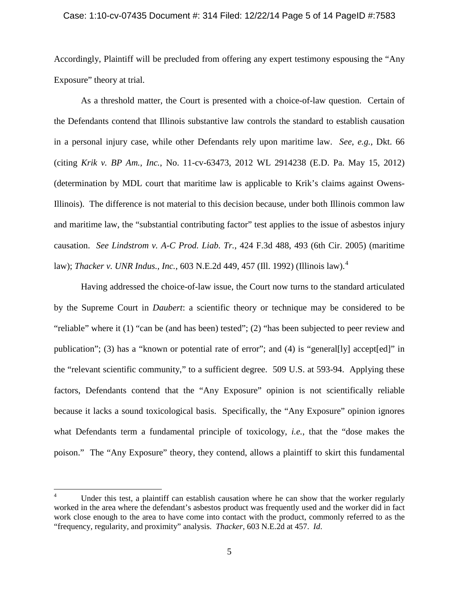#### Case: 1:10-cv-07435 Document #: 314 Filed: 12/22/14 Page 5 of 14 PageID #:7583

Accordingly, Plaintiff will be precluded from offering any expert testimony espousing the "Any Exposure" theory at trial.

As a threshold matter, the Court is presented with a choice-of-law question. Certain of the Defendants contend that Illinois substantive law controls the standard to establish causation in a personal injury case, while other Defendants rely upon maritime law. *See*, *e.g.*, Dkt. 66 (citing *Krik v. BP Am., Inc.*, No. 11-cv-63473, 2012 WL 2914238 (E.D. Pa. May 15, 2012) (determination by MDL court that maritime law is applicable to Krik's claims against Owens-Illinois). The difference is not material to this decision because, under both Illinois common law and maritime law, the "substantial contributing factor" test applies to the issue of asbestos injury causation. *See Lindstrom v. A-C Prod. Liab. Tr.*, 424 F.3d 488, 493 (6th Cir. 2005) (maritime law); *Thacker v. UNR Indus., Inc.*, 603 N.E.2d 449, 457 (Ill. 1992) (Illinois law).[4](#page-4-0)

Having addressed the choice-of-law issue, the Court now turns to the standard articulated by the Supreme Court in *Daubert*: a scientific theory or technique may be considered to be "reliable" where it (1) "can be (and has been) tested"; (2) "has been subjected to peer review and publication"; (3) has a "known or potential rate of error"; and (4) is "general[ly] accept[ed]" in the "relevant scientific community," to a sufficient degree. 509 U.S. at 593-94. Applying these factors, Defendants contend that the "Any Exposure" opinion is not scientifically reliable because it lacks a sound toxicological basis. Specifically, the "Any Exposure" opinion ignores what Defendants term a fundamental principle of toxicology, *i.e.*, that the "dose makes the poison." The "Any Exposure" theory, they contend, allows a plaintiff to skirt this fundamental

<span id="page-4-0"></span>Under this test, a plaintiff can establish causation where he can show that the worker regularly worked in the area where the defendant's asbestos product was frequently used and the worker did in fact work close enough to the area to have come into contact with the product, commonly referred to as the "frequency, regularity, and proximity" analysis. *Thacker*, 603 N.E.2d at 457. *Id*.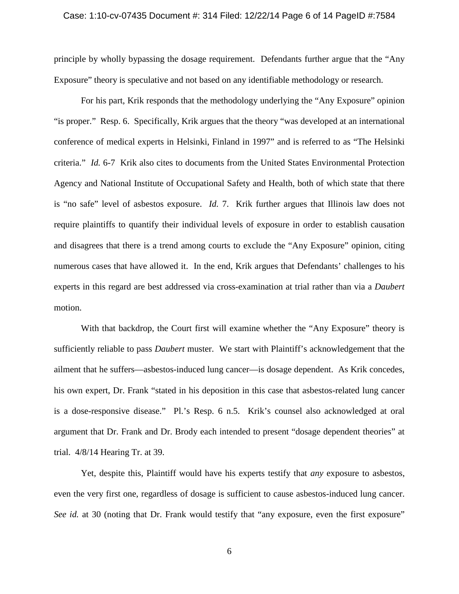#### Case: 1:10-cv-07435 Document #: 314 Filed: 12/22/14 Page 6 of 14 PageID #:7584

principle by wholly bypassing the dosage requirement. Defendants further argue that the "Any Exposure" theory is speculative and not based on any identifiable methodology or research.

For his part, Krik responds that the methodology underlying the "Any Exposure" opinion "is proper." Resp. 6. Specifically, Krik argues that the theory "was developed at an international conference of medical experts in Helsinki, Finland in 1997" and is referred to as "The Helsinki criteria." *Id.* 6-7 Krik also cites to documents from the United States Environmental Protection Agency and National Institute of Occupational Safety and Health, both of which state that there is "no safe" level of asbestos exposure. *Id.* 7. Krik further argues that Illinois law does not require plaintiffs to quantify their individual levels of exposure in order to establish causation and disagrees that there is a trend among courts to exclude the "Any Exposure" opinion, citing numerous cases that have allowed it. In the end, Krik argues that Defendants' challenges to his experts in this regard are best addressed via cross-examination at trial rather than via a *Daubert*  motion.

With that backdrop, the Court first will examine whether the "Any Exposure" theory is sufficiently reliable to pass *Daubert* muster. We start with Plaintiff's acknowledgement that the ailment that he suffers—asbestos-induced lung cancer—is dosage dependent. As Krik concedes, his own expert, Dr. Frank "stated in his deposition in this case that asbestos-related lung cancer is a dose-responsive disease." Pl.'s Resp. 6 n.5. Krik's counsel also acknowledged at oral argument that Dr. Frank and Dr. Brody each intended to present "dosage dependent theories" at trial. 4/8/14 Hearing Tr. at 39.

Yet, despite this, Plaintiff would have his experts testify that *any* exposure to asbestos, even the very first one, regardless of dosage is sufficient to cause asbestos-induced lung cancer. *See id.* at 30 (noting that Dr. Frank would testify that "any exposure, even the first exposure"

6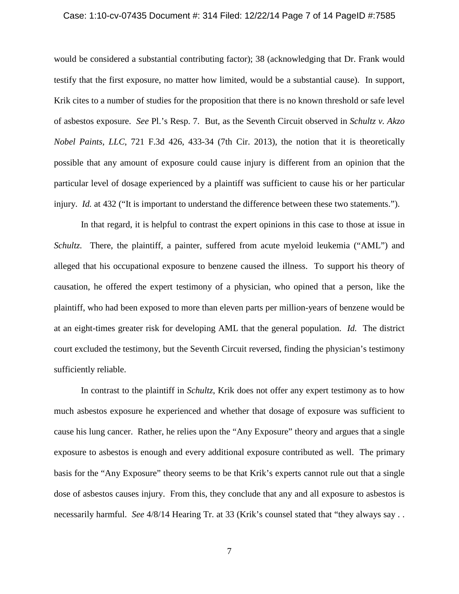#### Case: 1:10-cv-07435 Document #: 314 Filed: 12/22/14 Page 7 of 14 PageID #:7585

would be considered a substantial contributing factor); 38 (acknowledging that Dr. Frank would testify that the first exposure, no matter how limited, would be a substantial cause). In support, Krik cites to a number of studies for the proposition that there is no known threshold or safe level of asbestos exposure. *See* Pl.'s Resp. 7. But, as the Seventh Circuit observed in *Schultz v. Akzo Nobel Paints, LLC*, 721 F.3d 426, 433-34 (7th Cir. 2013), the notion that it is theoretically possible that any amount of exposure could cause injury is different from an opinion that the particular level of dosage experienced by a plaintiff was sufficient to cause his or her particular injury. *Id.* at 432 ("It is important to understand the difference between these two statements.").

In that regard, it is helpful to contrast the expert opinions in this case to those at issue in *Schultz.* There, the plaintiff, a painter, suffered from acute myeloid leukemia ("AML") and alleged that his occupational exposure to benzene caused the illness. To support his theory of causation, he offered the expert testimony of a physician, who opined that a person, like the plaintiff, who had been exposed to more than eleven parts per million-years of benzene would be at an eight-times greater risk for developing AML that the general population. *Id.* The district court excluded the testimony, but the Seventh Circuit reversed, finding the physician's testimony sufficiently reliable.

In contrast to the plaintiff in *Schultz*, Krik does not offer any expert testimony as to how much asbestos exposure he experienced and whether that dosage of exposure was sufficient to cause his lung cancer. Rather, he relies upon the "Any Exposure" theory and argues that a single exposure to asbestos is enough and every additional exposure contributed as well. The primary basis for the "Any Exposure" theory seems to be that Krik's experts cannot rule out that a single dose of asbestos causes injury. From this, they conclude that any and all exposure to asbestos is necessarily harmful. *See* 4/8/14 Hearing Tr. at 33 (Krik's counsel stated that "they always say . .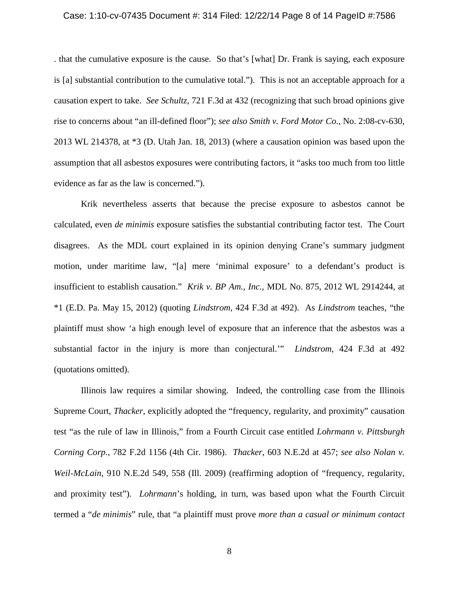#### Case: 1:10-cv-07435 Document #: 314 Filed: 12/22/14 Page 8 of 14 PageID #:7586

. that the cumulative exposure is the cause. So that's [what] Dr. Frank is saying, each exposure is [a] substantial contribution to the cumulative total."). This is not an acceptable approach for a causation expert to take. *See Schultz*, 721 F.3d at 432 (recognizing that such broad opinions give rise to concerns about "an ill-defined floor"); *see also Smith v. Ford Motor Co.*, No. 2:08-cv-630, 2013 WL 214378, at \*3 (D. Utah Jan. 18, 2013) (where a causation opinion was based upon the assumption that all asbestos exposures were contributing factors, it "asks too much from too little evidence as far as the law is concerned.").

Krik nevertheless asserts that because the precise exposure to asbestos cannot be calculated, even *de minimis* exposure satisfies the substantial contributing factor test. The Court disagrees. As the MDL court explained in its opinion denying Crane's summary judgment motion, under maritime law, "[a] mere 'minimal exposure' to a defendant's product is insufficient to establish causation." *Krik v. BP Am., Inc.*, MDL No. 875, 2012 WL 2914244, at \*1 (E.D. Pa. May 15, 2012) (quoting *Lindstrom*, 424 F.3d at 492). As *Lindstrom* teaches, "the plaintiff must show 'a high enough level of exposure that an inference that the asbestos was a substantial factor in the injury is more than conjectural.'" *Lindstrom*, 424 F.3d at 492 (quotations omitted).

Illinois law requires a similar showing. Indeed, the controlling case from the Illinois Supreme Court, *Thacker*, explicitly adopted the "frequency, regularity, and proximity" causation test "as the rule of law in Illinois," from a Fourth Circuit case entitled *Lohrmann v. Pittsburgh Corning Corp.*, 782 F.2d 1156 (4th Cir. 1986). *Thacker*, 603 N.E.2d at 457; *see also Nolan v. Weil-McLain*, 910 N.E.2d 549, 558 (Ill. 2009) (reaffirming adoption of "frequency, regularity, and proximity test"). *Lohrmann*'s holding, in turn, was based upon what the Fourth Circuit termed a "*de minimis*" rule, that "a plaintiff must prove *more than a casual or minimum contact*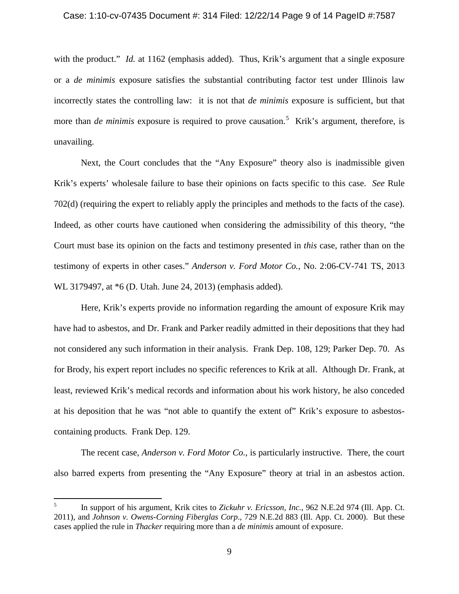#### Case: 1:10-cv-07435 Document #: 314 Filed: 12/22/14 Page 9 of 14 PageID #:7587

with the product." *Id.* at 1162 (emphasis added). Thus, Krik's argument that a single exposure or a *de minimis* exposure satisfies the substantial contributing factor test under Illinois law incorrectly states the controlling law: it is not that *de minimis* exposure is sufficient, but that more than *de minimis* exposure is required to prove causation. [5](#page-8-0) Krik's argument, therefore, is unavailing.

Next, the Court concludes that the "Any Exposure" theory also is inadmissible given Krik's experts' wholesale failure to base their opinions on facts specific to this case. *See* Rule 702(d) (requiring the expert to reliably apply the principles and methods to the facts of the case). Indeed, as other courts have cautioned when considering the admissibility of this theory, "the Court must base its opinion on the facts and testimony presented in *this* case, rather than on the testimony of experts in other cases." *Anderson v. Ford Motor Co.*, No. 2:06-CV-741 TS, 2013 WL 3179497, at \*6 (D. Utah. June 24, 2013) (emphasis added).

Here, Krik's experts provide no information regarding the amount of exposure Krik may have had to asbestos, and Dr. Frank and Parker readily admitted in their depositions that they had not considered any such information in their analysis. Frank Dep. 108, 129; Parker Dep. 70. As for Brody, his expert report includes no specific references to Krik at all. Although Dr. Frank, at least, reviewed Krik's medical records and information about his work history, he also conceded at his deposition that he was "not able to quantify the extent of" Krik's exposure to asbestoscontaining products. Frank Dep. 129.

The recent case, *Anderson v. Ford Motor Co.*, is particularly instructive. There, the court also barred experts from presenting the "Any Exposure" theory at trial in an asbestos action.

<span id="page-8-0"></span><sup>5</sup> In support of his argument, Krik cites to *Zickuhr v. Ericsson, Inc.*, 962 N.E.2d 974 (Ill. App. Ct. 2011), and *Johnson v. Owens-Corning Fiberglas Corp*., 729 N.E.2d 883 (Ill. App. Ct. 2000). But these cases applied the rule in *Thacker* requiring more than a *de minimis* amount of exposure.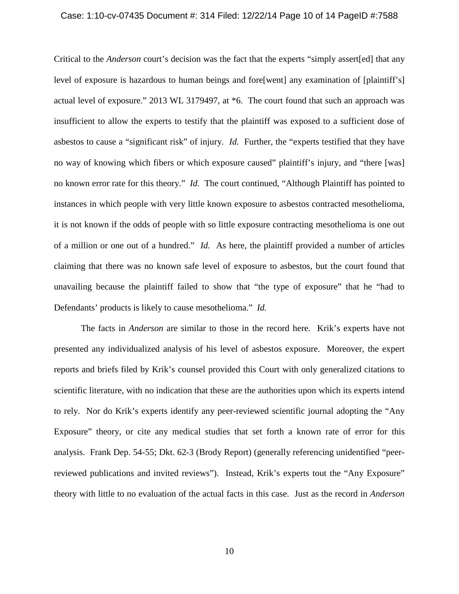#### Case: 1:10-cv-07435 Document #: 314 Filed: 12/22/14 Page 10 of 14 PageID #:7588

Critical to the *Anderson* court's decision was the fact that the experts "simply assert[ed] that any level of exposure is hazardous to human beings and fore[went] any examination of [plaintiff's] actual level of exposure." 2013 WL 3179497, at \*6. The court found that such an approach was insufficient to allow the experts to testify that the plaintiff was exposed to a sufficient dose of asbestos to cause a "significant risk" of injury. *Id.* Further, the "experts testified that they have no way of knowing which fibers or which exposure caused" plaintiff's injury, and "there [was] no known error rate for this theory." *Id.* The court continued, "Although Plaintiff has pointed to instances in which people with very little known exposure to asbestos contracted [mesothelioma,](http://web2.westlaw.com/find/default.wl?rs=WLW13.10&pbc=51E6C738&vr=2.0&findtype=UM&rp=%2ffind%2fdefault.wl&sv=Split&fn=_top&ordoc=2030858604&mt=Westlaw&docname=Ica87e4fe475411db9765f9243f53508a) it is not known if the odds of people with so little exposure contracting [mesothelioma](http://web2.westlaw.com/find/default.wl?rs=WLW13.10&pbc=51E6C738&vr=2.0&findtype=UM&rp=%2ffind%2fdefault.wl&sv=Split&fn=_top&ordoc=2030858604&mt=Westlaw&docname=Ica87e4fe475411db9765f9243f53508a) is one out of a million or one out of a hundred." *Id.* As here, the plaintiff provided a number of articles claiming that there was no known safe level of exposure to asbestos, but the court found that unavailing because the plaintiff failed to show that "the type of exposure" that he "had to Defendants' products is likely to cause mesothelioma." *Id.*

The facts in *Anderson* are similar to those in the record here. Krik's experts have not presented any individualized analysis of his level of asbestos exposure. Moreover, the expert reports and briefs filed by Krik's counsel provided this Court with only generalized citations to scientific literature, with no indication that these are the authorities upon which its experts intend to rely. Nor do Krik's experts identify any peer-reviewed scientific journal adopting the "Any Exposure" theory, or cite any medical studies that set forth a known rate of error for this analysis. Frank Dep. 54-55; Dkt. 62-3 (Brody Report) (generally referencing unidentified "peerreviewed publications and invited reviews"). Instead, Krik's experts tout the "Any Exposure" theory with little to no evaluation of the actual facts in this case. Just as the record in *Anderson*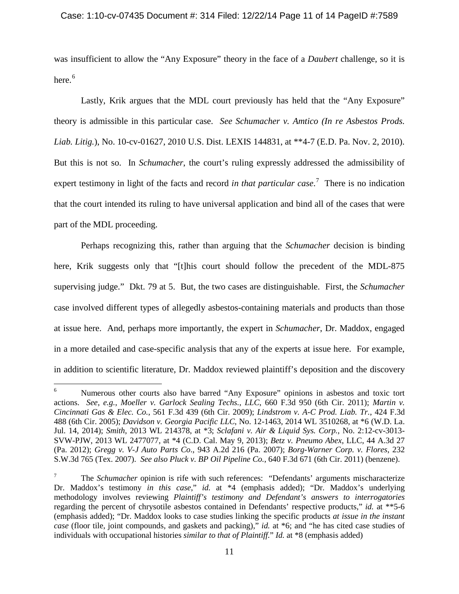was insufficient to allow the "Any Exposure" theory in the face of a *Daubert* challenge, so it is here. $^6$  $^6$ 

Lastly, Krik argues that the MDL court previously has held that the "Any Exposure" theory is admissible in this particular case. *See Schumacher v. Amtico (In re Asbestos Prods. Liab. Litig.*), No. 10-cv-01627, 2010 U.S. Dist. LEXIS 144831, at \*\*4-7 (E.D. Pa. Nov. 2, 2010). But this is not so. In *Schumacher*, the court's ruling expressly addressed the admissibility of expert testimony in light of the facts and record *in that particular case*. [7](#page-10-1) There is no indication that the court intended its ruling to have universal application and bind all of the cases that were part of the MDL proceeding.

Perhaps recognizing this, rather than arguing that the *Schumacher* decision is binding here, Krik suggests only that "[t]his court should follow the precedent of the MDL-875 supervising judge." Dkt. 79 at 5. But, the two cases are distinguishable. First, the *Schumacher*  case involved different types of allegedly asbestos-containing materials and products than those at issue here. And, perhaps more importantly, the expert in *Schumacher*, Dr. Maddox, engaged in a more detailed and case-specific analysis that any of the experts at issue here. For example, in addition to scientific literature, Dr. Maddox reviewed plaintiff's deposition and the discovery

<span id="page-10-0"></span><sup>6</sup> Numerous other courts also have barred "Any Exposure" opinions in asbestos and toxic tort actions. *See*, *e.g.*, *Moeller v. Garlock Sealing Techs., LLC*, 660 F.3d 950 (6th Cir. 2011); *Martin v. Cincinnati Gas & Elec. Co.*, 561 F.3d 439 (6th Cir. 2009); *Lindstrom v. A-C Prod. Liab. Tr.*, 424 F.3d 488 (6th Cir. 2005); *Davidson v. Georgia Pacific LLC*, No. 12-1463, 2014 WL 3510268, at \*6 (W.D. La. Jul. 14, 2014); *Smith*, 2013 WL 214378, at \*3; *Sclafani v. Air & Liquid Sys. Corp.*, No. 2:12-cv-3013- SVW-PJW, 2013 WL 2477077, at \*4 (C.D. Cal. May 9, 2013); *Betz v. Pneumo Abex*, LLC, 44 A.3d 27 (Pa. 2012); *Gregg v. V-J Auto Parts Co*., 943 A.2d 216 (Pa. 2007); *Borg-Warner Corp. v. Flores*, 232 S.W.3d 765 (Tex. 2007). *See also Pluck v. BP Oil Pipeline Co.*, 640 F.3d 671 (6th Cir. 2011) (benzene).

<span id="page-10-1"></span><sup>&</sup>lt;sup>7</sup> The *Schumacher* opinion is rife with such references: "Defendants' arguments mischaracterize Dr. Maddox's testimony *in this case*," *id.* at \*4 (emphasis added); "Dr. Maddox's underlying methodology involves reviewing *Plaintiff's testimony and Defendant's answers to interrogatories* regarding the percent of chrysotile asbestos contained in Defendants' respective products," *id.* at \*\*5-6 (emphasis added); "Dr. Maddox looks to case studies linking the specific products *at issue in the instant case* (floor tile, joint compounds, and gaskets and packing)," *id.* at \*6; and "he has cited case studies of individuals with occupational histories *similar to that of Plaintiff.*" *Id.* at \*8 (emphasis added)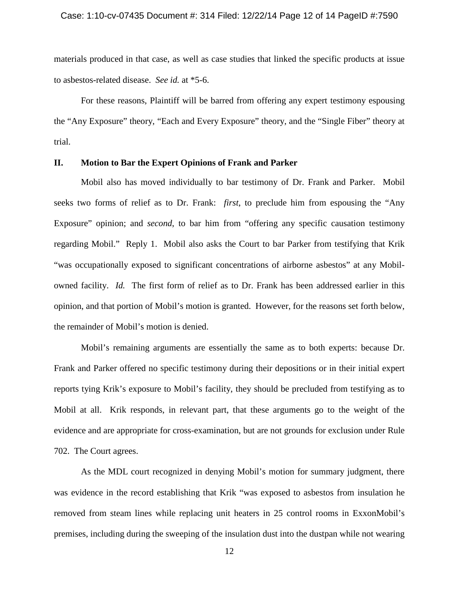materials produced in that case, as well as case studies that linked the specific products at issue to asbestos-related disease. *See id.* at \*5-6.

For these reasons, Plaintiff will be barred from offering any expert testimony espousing the "Any Exposure" theory, "Each and Every Exposure" theory, and the "Single Fiber" theory at trial.

## **II. Motion to Bar the Expert Opinions of Frank and Parker**

Mobil also has moved individually to bar testimony of Dr. Frank and Parker. Mobil seeks two forms of relief as to Dr. Frank: *first*, to preclude him from espousing the "Any Exposure" opinion; and *second*, to bar him from "offering any specific causation testimony regarding Mobil." Reply 1. Mobil also asks the Court to bar Parker from testifying that Krik "was occupationally exposed to significant concentrations of airborne asbestos" at any Mobilowned facility. *Id.* The first form of relief as to Dr. Frank has been addressed earlier in this opinion, and that portion of Mobil's motion is granted. However, for the reasons set forth below, the remainder of Mobil's motion is denied.

Mobil's remaining arguments are essentially the same as to both experts: because Dr. Frank and Parker offered no specific testimony during their depositions or in their initial expert reports tying Krik's exposure to Mobil's facility, they should be precluded from testifying as to Mobil at all. Krik responds, in relevant part, that these arguments go to the weight of the evidence and are appropriate for cross-examination, but are not grounds for exclusion under Rule 702. The Court agrees.

As the MDL court recognized in denying Mobil's motion for summary judgment, there was evidence in the record establishing that Krik "was exposed to asbestos from insulation he removed from steam lines while replacing unit heaters in 25 control rooms in ExxonMobil's premises, including during the sweeping of the insulation dust into the dustpan while not wearing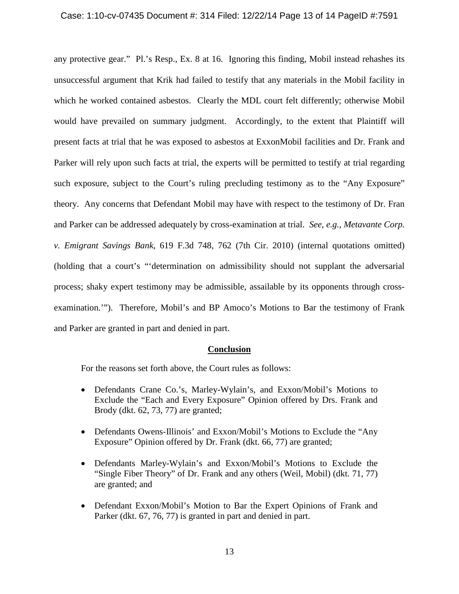### Case: 1:10-cv-07435 Document #: 314 Filed: 12/22/14 Page 13 of 14 PageID #:7591

any protective gear." Pl.'s Resp., Ex. 8 at 16. Ignoring this finding, Mobil instead rehashes its unsuccessful argument that Krik had failed to testify that any materials in the Mobil facility in which he worked contained asbestos. Clearly the MDL court felt differently; otherwise Mobil would have prevailed on summary judgment. Accordingly, to the extent that Plaintiff will present facts at trial that he was exposed to asbestos at ExxonMobil facilities and Dr. Frank and Parker will rely upon such facts at trial, the experts will be permitted to testify at trial regarding such exposure, subject to the Court's ruling precluding testimony as to the "Any Exposure" theory. Any concerns that Defendant Mobil may have with respect to the testimony of Dr. Fran and Parker can be addressed adequately by cross-examination at trial. *See*, *e.g.*, *Metavante Corp. v. Emigrant Savings Bank*, 619 F.3d 748, 762 (7th Cir. 2010) (internal quotations omitted) (holding that a court's "'determination on admissibility should not supplant the adversarial process; shaky expert testimony may be admissible, assailable by its opponents through crossexamination.'"). Therefore, Mobil's and BP Amoco's Motions to Bar the testimony of Frank and Parker are granted in part and denied in part.

### **Conclusion**

For the reasons set forth above, the Court rules as follows:

- Defendants Crane Co.'s, Marley-Wylain's, and Exxon/Mobil's Motions to Exclude the "Each and Every Exposure" Opinion offered by Drs. Frank and Brody (dkt. 62, 73, 77) are granted;
- Defendants Owens-Illinois' and Exxon/Mobil's Motions to Exclude the "Any Exposure" Opinion offered by Dr. Frank (dkt. 66, 77) are granted;
- Defendants Marley-Wylain's and Exxon/Mobil's Motions to Exclude the "Single Fiber Theory" of Dr. Frank and any others (Weil, Mobil) (dkt. 71, 77) are granted; and
- Defendant Exxon/Mobil's Motion to Bar the Expert Opinions of Frank and Parker (dkt. 67, 76, 77) is granted in part and denied in part.